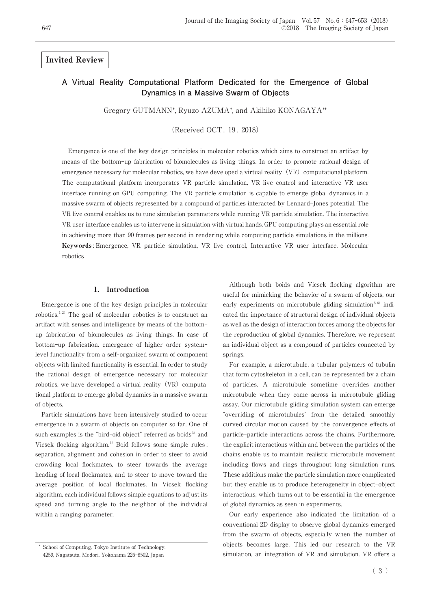# Invited Review

# **A Virtual Reality Computational Platform Dedicated for the Emergence of Global**

Gregory GUTMANN\* , Ryuzo AZUMA\* , and Akihiko KONAGAYA\*\*

**Dynamics in a Massive Swarm of Objects**

(Received OCT. 19. 2018)

Emergence is one of the key design principles in molecular robotics which aims to construct an artifact by means of the bottom-up fabrication of biomolecules as living things. In order to promote rational design of emergence necessary for molecular robotics, we have developed a virtual reality  $(VR)$  computational platform. The computational platform incorporates VR particle simulation, VR live control and interactive VR user interface running on GPU computing. The VR particle simulation is capable to emerge global dynamics in a massive swarm of objects represented by a compound of particles interacted by Lennard-Jones potential. The VR live control enables us to tune simulation parameters while running VR particle simulation. The interactive VR user interface enables us to intervene in simulation with virtual hands. GPU computing plays an essential role in achieving more than 90 frames per second in rendering while computing particle simulations in the millions. Keywords : Emergence, VR particle simulation, VR live control, Interactive VR user interface, Molecular robotics

#### 1. Introduction

Emergence is one of the key design principles in molecular robotics.<sup> $1,2)$ </sup> The goal of molecular robotics is to construct an artifact with senses and intelligence by means of the bottomup fabrication of biomolecules as living things. In case of bottom-up fabrication, emergence of higher order systemlevel functionality from a self-organized swarm of component objects with limited functionality is essential. In order to study the rational design of emergence necessary for molecular robotics, we have developed a virtual reality  $(VR)$  computational platform to emerge global dynamics in a massive swarm of objects.

Particle simulations have been intensively studied to occur emergence in a swarm of objects on computer so far. One of such examples is the "bird-oid object" referred as boids $3$  and Vicsek flocking algorithm.<sup>4)</sup> Boid follows some simple rules : separation, alignment and cohesion in order to steer to avoid crowding local flockmates, to steer towards the average heading of local flockmates, and to steer to move toward the average position of local flockmates. In Vicsek flocking algorithm, each individual follows simple equations to adjust its speed and turning angle to the neighbor of the individual within a ranging parameter.

Although both boids and Vicsek flocking algorithm are useful for mimicking the behavior of a swarm of objects, our early experiments on microtubule gliding simulation<sup>5,6)</sup> indicated the importance of structural design of individual objects as well as the design of interaction forces among the objects for the reproduction of global dynamics. Therefore, we represent an individual object as a compound of particles connected by springs.

For example, a microtubule, a tubular polymers of tubulin that form cytoskeleton in a cell, can be represented by a chain of particles. A microtubule sometime overrides another microtubule when they come across in microtubule gliding assay. Our microtubule gliding simulation system can emerge "overriding of microtubules" from the detailed, smoothly curved circular motion caused by the convergence effects of particle-particle interactions across the chains. Furthermore, the explicit interactions within and between the particles of the chains enable us to maintain realistic microtubule movement including flows and rings throughout long simulation runs. These additions make the particle simulation more complicated but they enable us to produce heterogeneity in object-object interactions, which turns out to be essential in the emergence of global dynamics as seen in experiments.

Our early experience also indicated the limitation of a conventional 2D display to observe global dynamics emerged from the swarm of objects, especially when the number of objects becomes large. This led our research to the VR simulation, an integration of VR and simulation. VR offers a

<sup>\*</sup> School of Computing, Tokyo Institute of Technology. 4259, Nagatsuta, Modori, Yokohama 226-8502, Japan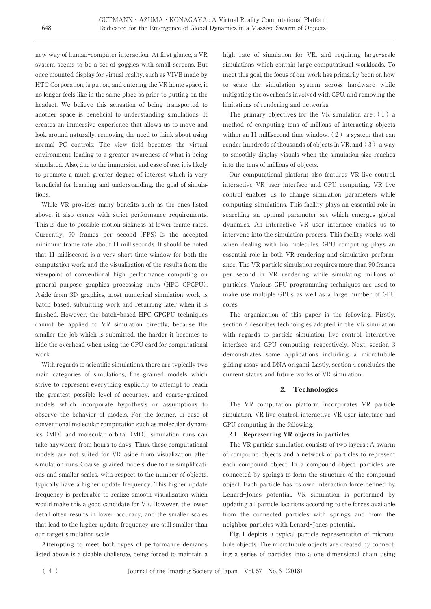new way of human-computer interaction. At first glance, a VR system seems to be a set of goggles with small screens. But once mounted display for virtual reality, such as VIVE made by HTC Corporation, is put on, and entering the VR home space, it no longer feels like in the same place as prior to putting on the headset. We believe this sensation of being transported to another space is beneficial to understanding simulations. It creates an immersive experience that allows us to move and look around naturally, removing the need to think about using normal PC controls. The view field becomes the virtual environment, leading to a greater awareness of what is being simulated. Also, due to the immersion and ease of use, it is likely to promote a much greater degree of interest which is very beneficial for learning and understanding, the goal of simulations.

While VR provides many benefits such as the ones listed above, it also comes with strict performance requirements. This is due to possible motion sickness at lower frame rates. Currently, 90 frames per second (FPS) is the accepted minimum frame rate, about 11 milliseconds. It should be noted that 11 millisecond is a very short time window for both the computation work and the visualization of the results from the viewpoint of conventional high performance computing on general purpose graphics processing units(HPC GPGPU). Aside from 3D graphics, most numerical simulation work is batch-based, submitting work and returning later when it is finished. However, the batch-based HPC GPGPU techniques cannot be applied to VR simulation directly, because the smaller the job which is submitted, the harder it becomes to hide the overhead when using the GPU card for computational work.

With regards to scientific simulations, there are typically two main categories of simulations, fine-grained models which strive to represent everything explicitly to attempt to reach the greatest possible level of accuracy, and coarse-grained models which incorporate hypothesis or assumptions to observe the behavior of models. For the former, in case of conventional molecular computation such as molecular dynamics  $(MD)$  and molecular orbital  $(MO)$ , simulation runs can take anywhere from hours to days. Thus, these computational models are not suited for VR aside from visualization after simulation runs. Coarse-grained models, due to the simplifications and smaller scales, with respect to the number of objects, typically have a higher update frequency. This higher update frequency is preferable to realize smooth visualization which would make this a good candidate for VR. However, the lower detail often results in lower accuracy, and the smaller scales that lead to the higher update frequency are still smaller than our target simulation scale.

Attempting to meet both types of performance demands listed above is a sizable challenge, being forced to maintain a high rate of simulation for VR, and requiring large-scale simulations which contain large computational workloads. To meet this goal, the focus of our work has primarily been on how to scale the simulation system across hardware while mitigating the overheads involved with GPU, and removing the limitations of rendering and networks.

The primary objectives for the VR simulation are  $:(1)$  a method of computing tens of millions of interacting objects within an 11 millisecond time window, (2) a system that can render hundreds of thousands of objects in VR, and (3) a way to smoothly display visuals when the simulation size reaches into the tens of millions of objects.

Our computational platform also features VR live control, interactive VR user interface and GPU computing. VR live control enables us to change simulation parameters while computing simulations. This facility plays an essential role in searching an optimal parameter set which emerges global dynamics. An interactive VR user interface enables us to intervene into the simulation process. This facility works well when dealing with bio molecules. GPU computing plays an essential role in both VR rendering and simulation performance. The VR particle simulation requires more than 90 frames per second in VR rendering while simulating millions of particles. Various GPU programming techniques are used to make use multiple GPUs as well as a large number of GPU cores.

The organization of this paper is the following. Firstly, section 2 describes technologies adopted in the VR simulation with regards to particle simulation, live control, interactive interface and GPU computing, respectively. Next, section 3 demonstrates some applications including a microtubule gliding assay and DNA origami. Lastly, section 4 concludes the current status and future works of VR simulation.

# 2. Technologies

The VR computation platform incorporates VR particle simulation, VR live control, interactive VR user interface and GPU computing in the following.

# 2.1 Representing VR objects in particles

The VR particle simulation consists of two layers : A swarm of compound objects and a network of particles to represent each compound object. In a compound object, particles are connected by springs to form the structure of the compound object. Each particle has its own interaction force defined by Lenard-Jones potential. VR simulation is performed by updating all particle locations according to the forces available from the connected particles with springs and from the neighbor particles with Lenard-Jones potential.

Fig. 1 depicts a typical particle representation of microtubule objects. The microtubule objects are created by connecting a series of particles into a one-dimensional chain using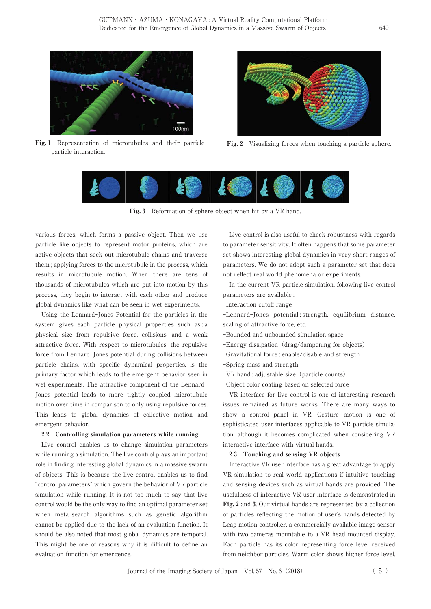

Fig. 1 Representation of microtubules and their particle-<br>
Fig. 2 Visualizing forces when touching a particle sphere. particle interaction.





Fig. 3 Reformation of sphere object when hit by a VR hand.

various forces, which forms a passive object. Then we use particle-like objects to represent motor proteins, which are active objects that seek out microtubule chains and traverse them ; applying forces to the microtubule in the process, which results in microtubule motion. When there are tens of thousands of microtubules which are put into motion by this process, they begin to interact with each other and produce global dynamics like what can be seen in wet experiments.

Using the Lennard-Jones Potential for the particles in the system gives each particle physical properties such as : a physical size from repulsive force, collisions, and a weak attractive force. With respect to microtubules, the repulsive force from Lennard-Jones potential during collisions between particle chains, with specific dynamical properties, is the primary factor which leads to the emergent behavior seen in wet experiments. The attractive component of the Lennard-Jones potential leads to more tightly coupled microtubule motion over time in comparison to only using repulsive forces. This leads to global dynamics of collective motion and emergent behavior.

#### 2.2 Controlling simulation parameters while running

Live control enables us to change simulation parameters while running a simulation. The live control plays an important role in finding interesting global dynamics in a massive swarm of objects. This is because the live control enables us to find "control parameters" which govern the behavior of VR particle simulation while running. It is not too much to say that live control would be the only way to find an optimal parameter set when meta-search algorithms such as genetic algorithm cannot be applied due to the lack of an evaluation function. It should be also noted that most global dynamics are temporal. This might be one of reasons why it is difficult to define an evaluation function for emergence.

Live control is also useful to check robustness with regards to parameter sensitivity. It often happens that some parameter set shows interesting global dynamics in very short ranges of parameters. We do not adopt such a parameter set that does not reflect real world phenomena or experiments.

In the current VR particle simulation, following live control parameters are available :

- -Interaction cutoff range
- -Lennard-Jones potential : strength, equilibrium distance, scaling of attractive force, etc.
- -Bounded and unbounded simulation space
- -Energy dissipation (drag/dampening for objects)
- -Gravitational force : enable/disable and strength
- -Spring mass and strength
- -VR hand : adjustable size (particle counts)
- -Object color coating based on selected force

VR interface for live control is one of interesting research issues remained as future works. There are many ways to show a control panel in VR. Gesture motion is one of sophisticated user interfaces applicable to VR particle simulation, although it becomes complicated when considering VR interactive interface with virtual hands.

## 2.3 Touching and sensing VR objects

Interactive VR user interface has a great advantage to apply VR simulation to real world applications if intuitive touching and sensing devices such as virtual hands are provided. The usefulness of interactive VR user interface is demonstrated in Fig. 2 and 3. Our virtual hands are represented by a collection of particles reflecting the motion of user's hands detected by Leap motion controller, a commercially available image sensor with two cameras mountable to a VR head mounted display. Each particle has its color representing force level received from neighbor particles. Warm color shows higher force level.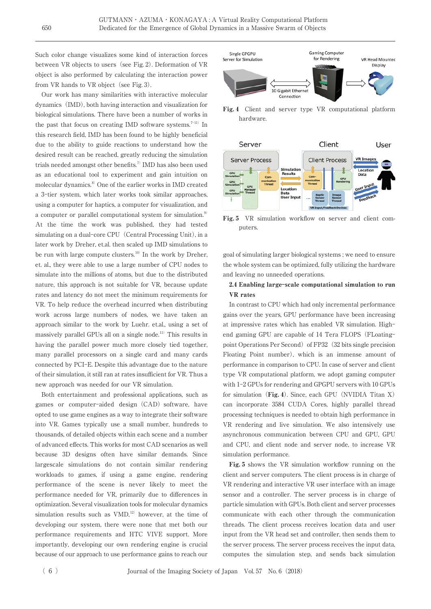Such color change visualizes some kind of interaction forces between VR objects to users (see Fig. 2). Deformation of VR object is also performed by calculating the interaction power from VR hands to VR object (see Fig. 3).

Our work has many similarities with interactive molecular dynamics (IMD), both having interaction and visualization for biological simulations. There have been a number of works in the past that focus on creating IMD software systems.<sup> $7-11)$ </sup> In this research field, IMD has been found to be highly beneficial due to the ability to guide reactions to understand how the desired result can be reached, greatly reducing the simulation trials needed amongst other benefits.<sup>7)</sup> IMD has also been used as an educational tool to experiment and gain intuition on molecular dynamics. 8) One of the earlier works in IMD created a 3-tier system, which later works took similar approaches, using a computer for haptics, a computer for visualization, and a computer or parallel computational system for simulation.<sup>9)</sup> At the time the work was published, they had tested simulating on a dual-core CPU (Central Processing Unit), in a later work by Dreher, et.al. then scaled up IMD simulations to be run with large compute clusters.<sup>10)</sup> In the work by Dreher, et. al., they were able to use a large number of CPU nodes to simulate into the millions of atoms, but due to the distributed nature, this approach is not suitable for VR, because update rates and latency do not meet the minimum requirements for VR. To help reduce the overhead incurred when distributing work across large numbers of nodes, we have taken an approach similar to the work by Luehr. et.al., using a set of massively parallel GPUs all on a single node.<sup>11)</sup> This results in having the parallel power much more closely tied together, many parallel processors on a single card and many cards connected by PCI-E. Despite this advantage due to the nature of their simulation, it still ran at rates insufficient for VR. Thus a new approach was needed for our VR simulation.

Both entertainment and professional applications, such as games or computer-aided design (CAD) software, have opted to use game engines as a way to integrate their software into VR. Games typically use a small number, hundreds to thousands, of detailed objects within each scene and a number of advanced effects. This works for most CAD scenarios as well because 3D designs often have similar demands. Since largescale simulations do not contain similar rendering workloads to games, if using a game engine, rendering performance of the scene is never likely to meet the performance needed for VR, primarily due to differences in optimization. Several visualization tools for molecular dynamics simulation results such as VMD,<sup>12)</sup> however, at the time of developing our system, there were none that met both our performance requirements and HTC VIVE support. More importantly, developing our own rendering engine is crucial because of our approach to use performance gains to reach our



Fig. 4 Client and server type VR computational platform hardware.



Fig. 5 VR simulation workflow on server and client computers.

goal of simulating larger biological systems ; we need to ensure the whole system can be optimized, fully utilizing the hardware and leaving no unneeded operations.

# 2.4 Enabling large**-**scale computational simulation to run VR rates

In contrast to CPU which had only incremental performance gains over the years, GPU performance have been increasing at impressive rates which has enabled VR simulation. Highend gaming GPU are capable of 14 Tera FLOPS(FLoatingpoint Operations Per Second) of FP32 (32 bits single precision Floating Point number), which is an immense amount of performance in comparison to CPU. In case of server and client type VR computational platform, we adopt gaming computer with 1-2 GPUs for rendering and GPGPU servers with 10 GPUs for simulation (Fig. 4). Since, each GPU (NVIDIA Titan X) can incorporate 3584 CUDA Cores, highly parallel thread processing techniques is needed to obtain high performance in VR rendering and live simulation. We also intensively use asynchronous communication between CPU and GPU, GPU and CPU, and client node and server node, to increase VR simulation performance.

Fig. 5 shows the VR simulation workflow running on the client and server computers. The client process is in charge of VR rendering and interactive VR user interface with an image sensor and a controller. The server process is in charge of particle simulation with GPUs. Both client and server processes communicate with each other through the communication threads. The client process receives location data and user input from the VR head set and controller, then sends them to the server process. The server process receives the input data, computes the simulation step, and sends back simulation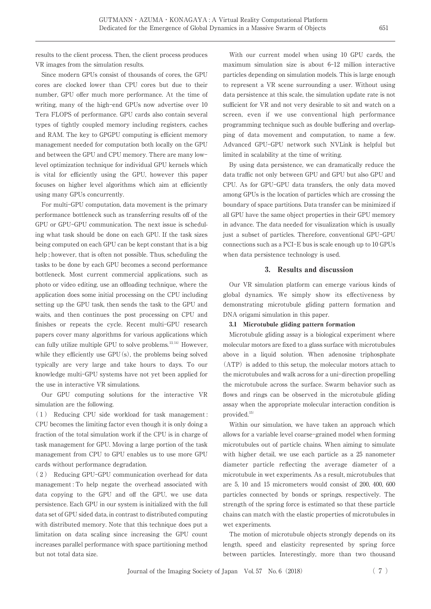results to the client process. Then, the client process produces VR images from the simulation results.

Since modern GPUs consist of thousands of cores, the GPU cores are clocked lower than CPU cores but due to their number, GPU offer much more performance. At the time of writing, many of the high-end GPUs now advertise over 10 Tera FLOPS of performance. GPU cards also contain several types of tightly coupled memory including registers, caches and RAM. The key to GPGPU computing is efficient memory management needed for computation both locally on the GPU and between the GPU and CPU memory. There are many lowlevel optimization technique for individual GPU kernels which is vital for efficiently using the GPU, however this paper focuses on higher level algorithms which aim at efficiently using many GPUs concurrently.

For multi-GPU computation, data movement is the primary performance bottleneck such as transferring results off of the GPU or GPU-GPU communication. The next issue is scheduling what task should be done on each GPU. If the task sizes being computed on each GPU can be kept constant that is a big help ; however, that is often not possible. Thus, scheduling the tasks to be done by each GPU becomes a second performance bottleneck. Most current commercial applications, such as photo or video editing, use an offloading technique, where the application does some initial processing on the CPU including setting up the GPU task, then sends the task to the GPU and waits, and then continues the post processing on CPU and finishes or repeats the cycle. Recent multi-GPU research papers cover many algorithms for various applications which can fully utilize multiple GPU to solve problems.<sup>13, 14)</sup> However, while they efficiently use GPU(s), the problems being solved typically are very large and take hours to days. To our knowledge multi-GPU systems have not yet been applied for the use in interactive VR simulations.

Our GPU computing solutions for the interactive VR simulation are the following.

(1) Reducing CPU side workload for task management : CPU becomes the limiting factor even though it is only doing a fraction of the total simulation work if the CPU is in charge of task management for GPU. Moving a large portion of the task management from CPU to GPU enables us to use more GPU cards without performance degradation.

(2) Reducing GPU-GPU communication overhead for data management : To help negate the overhead associated with data copying to the GPU and off the GPU, we use data persistence. Each GPU in our system is initialized with the full data set of GPU sided data, in contrast to distributed computing with distributed memory. Note that this technique does put a limitation on data scaling since increasing the GPU count increases parallel performance with space partitioning method but not total data size.

With our current model when using 10 GPU cards, the maximum simulation size is about 6-12 million interactive particles depending on simulation models. This is large enough to represent a VR scene surrounding a user. Without using data persistence at this scale, the simulation update rate is not sufficient for VR and not very desirable to sit and watch on a screen, even if we use conventional high performance programming technique such as double buffering and overlapping of data movement and computation, to name a few. Advanced GPU-GPU network such NVLink is helpful but limited in scalability at the time of writing.

By using data persistence, we can dramatically reduce the data traffic not only between GPU and GPU but also GPU and CPU. As for GPU-GPU data transfers, the only data moved among GPUs is the location of particles which are crossing the boundary of space partitions. Data transfer can be minimized if all GPU have the same object properties in their GPU memory in advance. The data needed for visualization which is usually just a subset of particles. Therefore, conventional GPU-GPU connections such as a PCI-E bus is scale enough up to 10 GPUs when data persistence technology is used.

### 3. Results and discussion

Our VR simulation platform can emerge various kinds of global dynamics. We simply show its effectiveness by demonstrating microtubule gliding pattern formation and DNA origami simulation in this paper.

#### 3.1 Microtubule gliding pattern formation

Microtubule gliding assay is a biological experiment where molecular motors are fixed to a glass surface with microtubules above in a liquid solution. When adenosine triphosphate  $(ATP)$  is added to this setup, the molecular motors attach to the microtubules and walk across for a uni-direction propelling the microtubule across the surface. Swarm behavior such as flows and rings can be observed in the microtubule gliding assay when the appropriate molecular interaction condition is provided. 15)

Within our simulation, we have taken an approach which allows for a variable level coarse-grained model when forming microtubules out of particle chains. When aiming to simulate with higher detail, we use each particle as a 25 nanometer diameter particle reflecting the average diameter of a microtubule in wet experiments. As a result, microtubules that are 5, 10 and 15 micrometers would consist of 200, 400, 600 particles connected by bonds or springs, respectively. The strength of the spring force is estimated so that these particle chains can match with the elastic properties of microtubules in wet experiments.

The motion of microtubule objects strongly depends on its length, speed and elasticity represented by spring force between particles. Interestingly, more than two thousand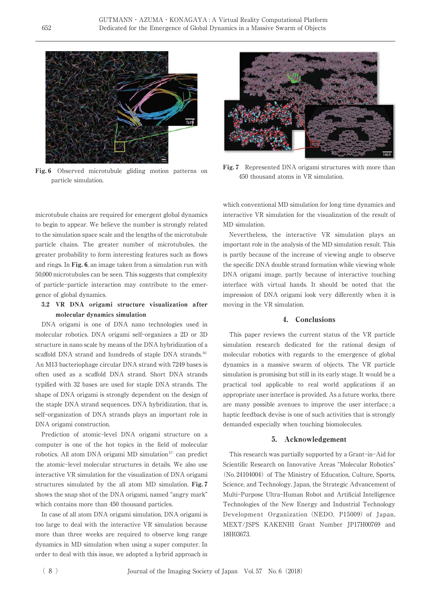

Fig. 6 Observed microtubule gliding motion patterns on Fig. 6 Observed microtubule gliding motion patterns on 450 thousand atoms in VR simulation. particle simulation.

microtubule chains are required for emergent global dynamics to begin to appear. We believe the number is strongly related to the simulation space scale and the lengths of the microtubule particle chains. The greater number of microtubules, the greater probability to form interesting features such as flows and rings. In Fig. 6, an image taken from a simulation run with 50,000 microtubules can be seen. This suggests that complexity of particle-particle interaction may contribute to the emergence of global dynamics.

# 3.2 VR DNA origami structure visualization after molecular dynamics simulation

DNA origami is one of DNA nano technologies used in molecular robotics. DNA origami self-organizes a 2D or 3D structure in nano scale by means of the DNA hybridization of a scaffold DNA strand and hundreds of staple DNA strands.<sup>16)</sup> An M13 bacteriophage circular DNA strand with 7249 bases is often used as a scaffold DNA strand. Short DNA strands typified with 32 bases are used for staple DNA strands. The shape of DNA origami is strongly dependent on the design of the staple DNA strand sequences. DNA hybridization, that is, self-organization of DNA strands plays an important role in DNA origami construction.

Prediction of atomic-level DNA origami structure on a computer is one of the hot topics in the field of molecular robotics. All atom DNA origami MD simulation $17$  can predict the atomic-level molecular structures in details. We also use interactive VR simulation for the visualization of DNA origami structures simulated by the all atom MD simulation. Fig. 7 shows the snap shot of the DNA origami, named "angry mark" which contains more than 450 thousand particles.

In case of all atom DNA origami simulation, DNA origami is too large to deal with the interactive VR simulation because more than three weeks are required to observe long range dynamics in MD simulation when using a super computer. In order to deal with this issue, we adopted a hybrid approach in



Fig. 7 Represented DNA origami structures with more than

which conventional MD simulation for long time dynamics and interactive VR simulation for the visualization of the result of MD simulation.

Nevertheless, the interactive VR simulation plays an important role in the analysis of the MD simulation result. This is partly because of the increase of viewing angle to observe the specific DNA double strand formation while viewing whole DNA origami image, partly because of interactive touching interface with virtual hands. It should be noted that the impression of DNA origami look very differently when it is moving in the VR simulation.

## 4. Conclusions

This paper reviews the current status of the VR particle simulation research dedicated for the rational design of molecular robotics with regards to the emergence of global dynamics in a massive swarm of objects. The VR particle simulation is promising but still in its early stage. It would be a practical tool applicable to real world applications if an appropriate user interface is provided. As a future works, there are many possible avenues to improve the user interface ; a haptic feedback devise is one of such activities that is strongly demanded especially when touching biomolecules.

## 5. Acknowledgement

This research was partially supported by a Grant-in-Aid for Scientific Research on Innovative Areas "Molecular Robotics" (No. 24104004) of The Ministry of Education, Culture, Sports, Science, and Technology, Japan, the Strategic Advancement of Multi-Purpose Ultra-Human Robot and Artificial Intelligence Technologies of the New Energy and Industrial Technology Development Organization (NEDO, P15009) of Japan, MEXT/JSPS KAKENHI Grant Number JP17H00769 and 18H03673.